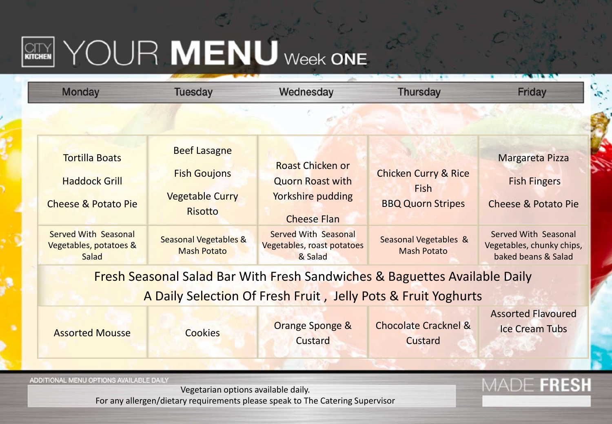## **REARN YOUR MENU** Week ONE

| <b>Monday</b>                                                                                                                              | <b>Tuesday</b>                                                                                                                                   | Wednesday                                                                                                                                                                    | <b>Thursday</b>                                                                                                           | Friday                                                                                                                                                      |  |
|--------------------------------------------------------------------------------------------------------------------------------------------|--------------------------------------------------------------------------------------------------------------------------------------------------|------------------------------------------------------------------------------------------------------------------------------------------------------------------------------|---------------------------------------------------------------------------------------------------------------------------|-------------------------------------------------------------------------------------------------------------------------------------------------------------|--|
|                                                                                                                                            |                                                                                                                                                  |                                                                                                                                                                              |                                                                                                                           |                                                                                                                                                             |  |
| <b>Tortilla Boats</b><br><b>Haddock Grill</b><br><b>Cheese &amp; Potato Pie</b><br>Served With Seasonal<br>Vegetables, potatoes &<br>Salad | <b>Beef Lasagne</b><br><b>Fish Goujons</b><br><b>Vegetable Curry</b><br><b>Risotto</b><br><b>Seasonal Vegetables &amp;</b><br><b>Mash Potato</b> | <b>Roast Chicken or</b><br><b>Quorn Roast with</b><br><b>Yorkshire pudding</b><br><b>Cheese Flan</b><br><b>Served With Seasonal</b><br>Vegetables, roast potatoes<br>& Salad | <b>Chicken Curry &amp; Rice</b><br><b>Fish</b><br><b>BBQ Quorn Stripes</b><br>Seasonal Vegetables &<br><b>Mash Potato</b> | <b>Margareta Pizza</b><br><b>Fish Fingers</b><br><b>Cheese &amp; Potato Pie</b><br>Served With Seasonal<br>Vegetables, chunky chips,<br>baked beans & Salad |  |
| Fresh Seasonal Salad Bar With Fresh Sandwiches & Baguettes Available Daily                                                                 |                                                                                                                                                  |                                                                                                                                                                              |                                                                                                                           |                                                                                                                                                             |  |
| A Daily Selection Of Fresh Fruit, Jelly Pots & Fruit Yoghurts                                                                              |                                                                                                                                                  |                                                                                                                                                                              |                                                                                                                           |                                                                                                                                                             |  |
| <b>Assorted Mousse</b>                                                                                                                     | <b>Cookies</b>                                                                                                                                   | <b>Orange Sponge &amp;</b><br>Custard                                                                                                                                        | <b>Chocolate Cracknel &amp;</b><br>Custard                                                                                | <b>Assorted Flavoured</b><br><b>Ice Cream Tubs</b>                                                                                                          |  |
|                                                                                                                                            |                                                                                                                                                  |                                                                                                                                                                              |                                                                                                                           |                                                                                                                                                             |  |
| ADDITIONAL MENU OPTIONS AVAILABLE DAILY<br>For any allergen/dietary requirements please speak to The Catering Supervisor                   | FRESH                                                                                                                                            |                                                                                                                                                                              |                                                                                                                           |                                                                                                                                                             |  |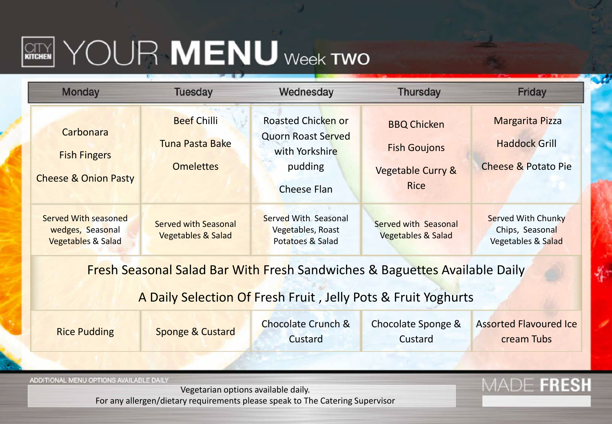## $\left[\begin{matrix} \text{CITY} \end{matrix}\right]$   $\text{YOUR}$   $\text{MEMU}$  week two

| <b>Monday</b>                                                                                                            | <b>Tuesday</b>                                                   | Wednesday                                                                                                 | <b>Thursday</b>                                                               | Friday                                                                        |  |  |
|--------------------------------------------------------------------------------------------------------------------------|------------------------------------------------------------------|-----------------------------------------------------------------------------------------------------------|-------------------------------------------------------------------------------|-------------------------------------------------------------------------------|--|--|
| Carbonara<br><b>Fish Fingers</b><br><b>Cheese &amp; Onion Pasty</b>                                                      | <b>Beef Chilli</b><br><b>Tuna Pasta Bake</b><br><b>Omelettes</b> | <b>Roasted Chicken or</b><br><b>Quorn Roast Served</b><br>with Yorkshire<br>pudding<br><b>Cheese Flan</b> | <b>BBQ Chicken</b><br><b>Fish Goujons</b><br>Vegetable Curry &<br><b>Rice</b> | Margarita Pizza<br><b>Haddock Grill</b><br><b>Cheese &amp; Potato Pie</b>     |  |  |
| <b>Served With seasoned</b><br>wedges, Seasonal<br><b>Vegetables &amp; Salad</b>                                         | <b>Served with Seasonal</b><br><b>Vegetables &amp; Salad</b>     | <b>Served With Seasonal</b><br>Vegetables, Roast<br>Potatoes & Salad                                      | Served with Seasonal<br>Vegetables & Salad                                    | <b>Served With Chunky</b><br>Chips, Seasonal<br><b>Vegetables &amp; Salad</b> |  |  |
| Fresh Seasonal Salad Bar With Fresh Sandwiches & Baguettes Available Daily                                               |                                                                  |                                                                                                           |                                                                               |                                                                               |  |  |
|                                                                                                                          |                                                                  | A Daily Selection Of Fresh Fruit, Jelly Pots & Fruit Yoghurts                                             |                                                                               |                                                                               |  |  |
| <b>Rice Pudding</b>                                                                                                      | Sponge & Custard                                                 | <b>Chocolate Crunch &amp;</b><br>Custard                                                                  | <b>Chocolate Sponge &amp;</b><br>Custard                                      | <b>Assorted Flavoured Ice</b><br>cream Tubs                                   |  |  |
|                                                                                                                          |                                                                  |                                                                                                           |                                                                               |                                                                               |  |  |
| ADDITIONAL MENU OPTIONS AVAILABLE DAILY<br>For any allergen/dietary requirements please speak to The Catering Supervisor | MADE FRESH                                                       |                                                                                                           |                                                                               |                                                                               |  |  |